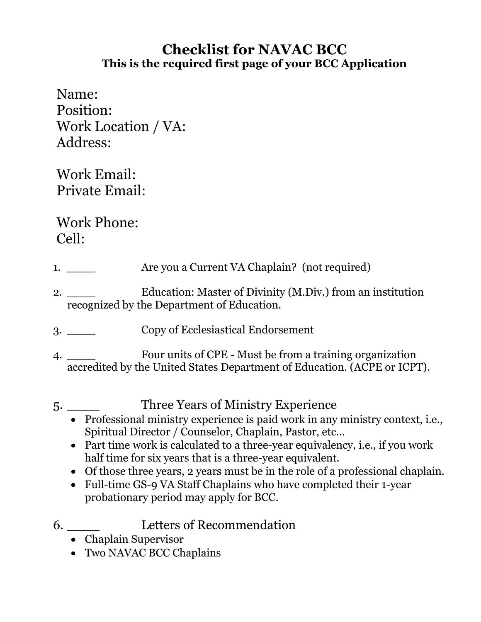## **Checklist for NAVAC BCC This is the required first page of your BCC Application**

Name: Position: Work Location / VA: Address:

Work Email: Private Email:

Work Phone: Cell:

- 1. \_\_\_\_\_ Are you a Current VA Chaplain? (not required)
- 2. \_\_\_\_\_ Education: Master of Divinity (M.Div.) from an institution recognized by the Department of Education.
- 3. \_\_\_\_ Copy of Ecclesiastical Endorsement
- 4. \_\_\_\_ Four units of CPE Must be from a training organization accredited by the United States Department of Education. (ACPE or ICPT).
- 5. \_\_\_\_ Three Years of Ministry Experience
	- Professional ministry experience is paid work in any ministry context, i.e., Spiritual Director / Counselor, Chaplain, Pastor, etc…
	- Part time work is calculated to a three-year equivalency, i.e., if you work half time for six years that is a three-year equivalent.
	- Of those three years, 2 years must be in the role of a professional chaplain.
	- Full-time GS-9 VA Staff Chaplains who have completed their 1-year probationary period may apply for BCC.
- 6. \_\_\_\_ Letters of Recommendation
	- Chaplain Supervisor
	- Two NAVAC BCC Chaplains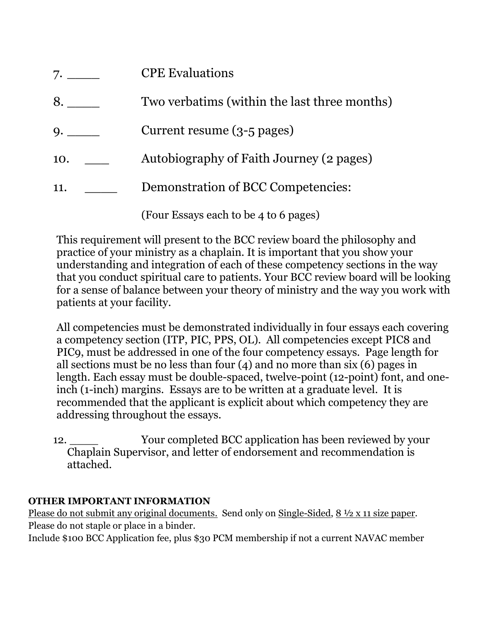| 7.  | <b>CPE Evaluations</b>                       |
|-----|----------------------------------------------|
| 8.  | Two verbatims (within the last three months) |
| 9.  | Current resume (3-5 pages)                   |
| 10. | Autobiography of Faith Journey (2 pages)     |
| 11. | Demonstration of BCC Competencies:           |
|     | (Four Essays each to be 4 to 6 pages)        |

This requirement will present to the BCC review board the philosophy and practice of your ministry as a chaplain. It is important that you show your understanding and integration of each of these competency sections in the way that you conduct spiritual care to patients. Your BCC review board will be looking for a sense of balance between your theory of ministry and the way you work with patients at your facility.

All competencies must be demonstrated individually in four essays each covering a competency section (ITP, PIC, PPS, OL). All competencies except PIC8 and PIC9, must be addressed in one of the four competency essays. Page length for all sections must be no less than four (4) and no more than six (6) pages in length. Each essay must be double-spaced, twelve-point (12-point) font, and oneinch (1-inch) margins. Essays are to be written at a graduate level. It is recommended that the applicant is explicit about which competency they are addressing throughout the essays.

12. Nour completed BCC application has been reviewed by your Chaplain Supervisor, and letter of endorsement and recommendation is attached.

## **OTHER IMPORTANT INFORMATION**

Please do not submit any original documents. Send only on Single-Sided, 8 ½ x 11 size paper. Please do not staple or place in a binder.

Include \$100 BCC Application fee, plus \$30 PCM membership if not a current NAVAC member